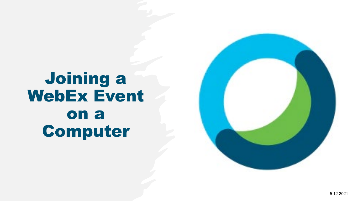# Joining a WebEx Event on a Computer

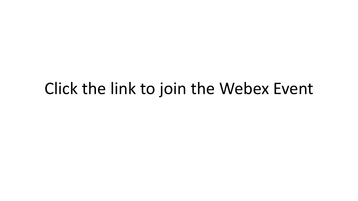# Click the link to join the Webex Event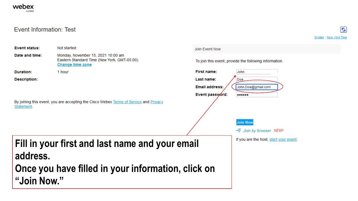### Event Information: Test

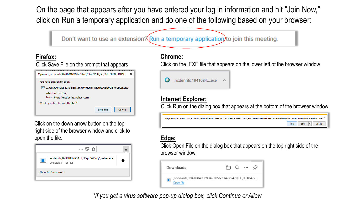On the page that appears after you have entered your log in information and hit "Join Now," click on Run a temporary application and do one of the following based on your browser:



## **Firefox:**

### Click Save File on the prompt that appears

| Opening , ncdenrits, 194108400693423656, 535474134, EC, 001079091, SDJTS |                     |  |  |  |
|--------------------------------------------------------------------------|---------------------|--|--|--|
| You have chosen to open:                                                 |                     |  |  |  |
| E  JussJUVha9se2nSYBEsiaRMWJKH71_BRYpc5i2QyQ2_webex.exe                  |                     |  |  |  |
| which is: exe File<br>from: https://ncdenrits.webex.com                  |                     |  |  |  |
| Would you like to save this file?                                        |                     |  |  |  |
|                                                                          | Cancel<br>Save File |  |  |  |

Click on the down arrow button on the top right side of the browser window and click to open the file.



# **Chrome:**

Click on the .EXE file that appears on the lower left of the browser window



## **Internet Explorer:**

Click Run on the dialog box that appears at the bottom of the browser window.

| Do you want to run or save .ncdenrits.194108400693423656.535514624.EC.001122291.SDJTSwAAAASvUSK9XvZ66C9U64mh9i3E6exe from ncdenrits.webex.com? <sup>x</sup> |            |             |  |        |
|-------------------------------------------------------------------------------------------------------------------------------------------------------------|------------|-------------|--|--------|
|                                                                                                                                                             | <b>Run</b> | <b>Save</b> |  | Cancel |

# **Edge:**

Click Open File on the dialog box that appears on the top right side of the browser window.



*\*If you get a virus software pop-up dialog box, click Continue or Allow*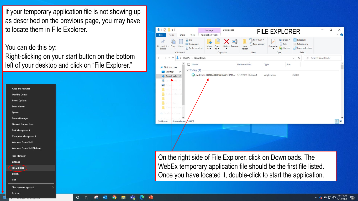If your temporary application file is not showing up as described on the previous page, you may have to locate them in File Explorer.

You can do this by: Right-clicking on your start button on the bottom left of your desktop and click on "File Explorer."





#### $\circ$ Ħ **P**